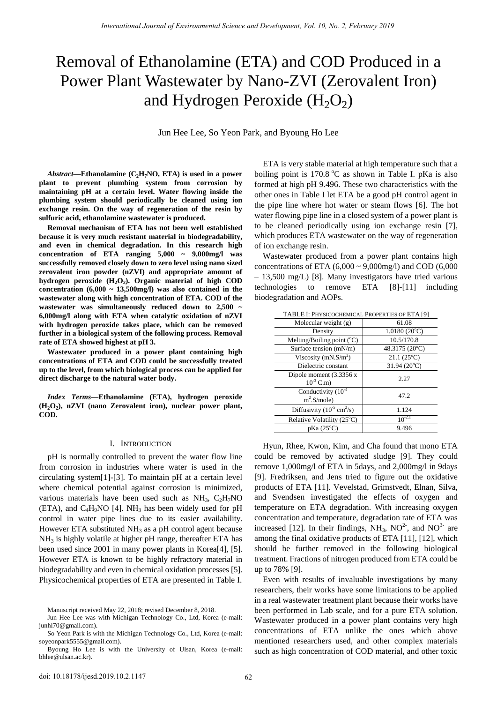# Removal of Ethanolamine (ETA) and COD Produced in a Power Plant Wastewater by Nano-ZVI (Zerovalent Iron) and Hydrogen Peroxide  $(H_2O_2)$

Jun Hee Lee, So Yeon Park, and Byoung Ho Lee

*Abstract***—Ethanolamine (C2H7NO, ETA) is used in a power plant to prevent plumbing system from corrosion by maintaining pH at a certain level. Water flowing inside the plumbing system should periodically be cleaned using ion exchange resin. On the way of regeneration of the resin by sulfuric acid, ethanolamine wastewater is produced.** 

**Removal mechanism of ETA has not been well established because it is very much resistant material in biodegradability, and even in chemical degradation. In this research high concentration of ETA ranging 5,000 ~ 9,000mg/l was successfully removed closely down to zero level using nano sized zerovalent iron powder (nZVI) and appropriate amount of hydrogen peroxide (H2O2). Organic material of high COD concentration (6,000 ~ 13,500mg/l) was also contained in the wastewater along with high concentration of ETA. COD of the wastewater was simultaneously reduced down to 2,500 ~ 6,000mg/l along with ETA when catalytic oxidation of nZVI with hydrogen peroxide takes place, which can be removed further in a biological system of the following process. Removal rate of ETA showed highest at pH 3.** 

**Wastewater produced in a power plant containing high concentrations of ETA and COD could be successfully treated up to the level, from which biological process can be applied for direct discharge to the natural water body.** 

*Index Terms***—Ethanolamine (ETA), hydrogen peroxide (H2O2), nZVI (nano Zerovalent iron), nuclear power plant, COD.** 

# I. INTRODUCTION

pH is normally controlled to prevent the water flow line from corrosion in industries where water is used in the circulating system[1]-[3]. To maintain pH at a certain level where chemical potential against corrosion is minimized, various materials have been used such as  $NH_3$ ,  $C_2H_7NO$ (ETA), and  $C_4H_9NO$  [4]. NH<sub>3</sub> has been widely used for pH control in water pipe lines due to its easier availability. However ETA substituted  $NH<sub>3</sub>$  as a pH control agent because  $NH<sub>3</sub>$  is highly volatile at higher pH range, thereafter ETA has been used since 2001 in many power plants in Korea[4], [5]. However ETA is known to be highly refractory material in biodegradability and even in chemical oxidation processes [5]. Physicochemical properties of ETA are presented in Table I.

ETA is very stable material at high temperature such that a boiling point is  $170.8\text{ °C}$  as shown in Table I. pKa is also formed at high pH 9.496. These two characteristics with the other ones in Table I let ETA be a good pH control agent in the pipe line where hot water or steam flows [6]. The hot water flowing pipe line in a closed system of a power plant is to be cleaned periodically using ion exchange resin [7], which produces ETA wastewater on the way of regeneration of ion exchange resin.

Wastewater produced from a power plant contains high concentrations of ETA  $(6,000 \sim 9,000 \text{mg/l})$  and COD  $(6,000$ – 13,500 mg/L) [8]. Many investigators have tried various technologies to remove ETA [8]-[11] including biodegradation and AOPs.

| Molecular weight (g)                          | 61.08                 |
|-----------------------------------------------|-----------------------|
| Density                                       | $1.0180(20^{\circ}C)$ |
| Melting/Boiling point $(^{\circ}C)$           | 10.5/170.8            |
| Surface tension (mN/m)                        | 48.3175 (20°C)        |
| Viscosity $(mN.S/m2)$                         | $21.1(25^{\circ}C)$   |
| Dielectric constant                           | $31.94(20^{\circ}C)$  |
| Dipole moment $(3.3356 x)$<br>$10^{-3}$ C.m)  | 2.27                  |
| Conductivity $(10^{-4})$<br>$m^2.S$ /mole)    | 47.2                  |
| Diffusivity $(10^{-5} \text{ cm}^2/\text{s})$ | 1.124                 |
| Relative Volatility (25°C)                    | $10^{-2.1}$           |
| $pKa(25^{\circ}C)$                            | 9.496                 |

TABLE I: PHYSICOCHEMICAL PROPERTIES OF ETA [9]

Hyun, Rhee, Kwon, Kim, and Cha found that mono ETA could be removed by activated sludge [9]. They could remove 1,000mg/l of ETA in 5days, and 2,000mg/l in 9days [9]. Fredriksen, and Jens tried to figure out the oxidative products of ETA [11]. Vevelstad, Grimstvedt, Elnan, Silva, and Svendsen investigated the effects of oxygen and temperature on ETA degradation. With increasing oxygen concentration and temperature, degradation rate of ETA was increased [12]. In their findings,  $NH_3$ ,  $NO^2$ , and  $NO^3$  are among the final oxidative products of ETA [11], [12], which should be further removed in the following biological treatment. Fractions of nitrogen produced from ETA could be up to 78% [9].

Even with results of invaluable investigations by many researchers, their works have some limitations to be applied in a real wastewater treatment plant because their works have been performed in Lab scale, and for a pure ETA solution. Wastewater produced in a power plant contains very high concentrations of ETA unlike the ones which above mentioned researchers used, and other complex materials such as high concentration of COD material, and other toxic

Manuscript received May 22, 2018; revised December 8, 2018.

Jun Hee Lee was with Michigan Technology Co., Ltd, Korea (e-mail: junhl70@gmail.com).

So Yeon Park is with the Michigan Technology Co., Ltd, Korea (e-mail: [soyeonpark5555@gmail.com\)](mailto:soyeonpark5555@gmail.com).

Byoung Ho Lee is with the University of Ulsan, Korea (e-mail: bhlee@ulsan.ac.kr).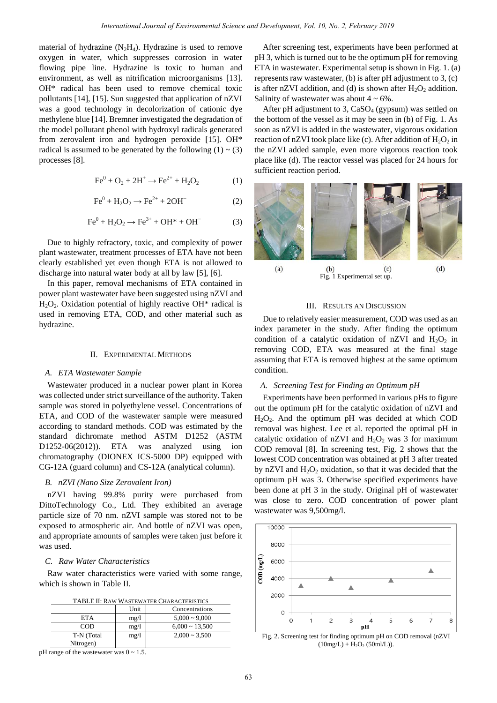material of hydrazine  $(N_2H_4)$ . Hydrazine is used to remove oxygen in water, which suppresses corrosion in water flowing pipe line. Hydrazine is toxic to human and environment, as well as nitrification microorganisms [13]. OH\* radical has been used to remove chemical toxic pollutants [14], [15]. Sun suggested that application of nZVI was a good technology in decolorization of cationic dye methylene blue [14]. Bremner investigated the degradation of the model pollutant phenol with hydroxyl radicals generated from zerovalent iron and hydrogen peroxide [15]. OH\* radical is assumed to be generated by the following  $(1) \sim (3)$ processes [8].

$$
Fe0 + O2 + 2H+ \to Fe2+ + H2O2
$$
 (1)

$$
\text{Fe}^0 + \text{H}_2\text{O}_2 \longrightarrow \text{Fe}^{2+} + 2\text{OH}^- \tag{2}
$$

$$
\text{Fe}^0 + \text{H}_2\text{O}_2 \rightarrow \text{Fe}^{3+} + \text{OH}^* + \text{OH}^-
$$
 (3)

Due to highly refractory, toxic, and complexity of power plant wastewater, treatment processes of ETA have not been clearly established yet even though ETA is not allowed to discharge into natural water body at all by law [5], [6].

In this paper, removal mechanisms of ETA contained in power plant wastewater have been suggested using nZVI and  $H_2O_2$ . Oxidation potential of highly reactive OH<sup>\*</sup> radical is used in removing ETA, COD, and other material such as hydrazine.

# II. EXPERIMENTAL METHODS

#### *A. ETA Wastewater Sample*

Wastewater produced in a nuclear power plant in Korea was collected under strict surveillance of the authority. Taken sample was stored in polyethylene vessel. Concentrations of ETA, and COD of the wastewater sample were measured according to standard methods. COD was estimated by the standard dichromate method ASTM D1252 (ASTM D1252-06(2012)). ETA was analyzed using ion chromatography (DIONEX ICS-5000 DP) equipped with CG-12A (guard column) and CS-12A (analytical column).

# *B. nZVI (Nano Size Zerovalent Iron)*

nZVI having 99.8% purity were purchased from DittoTechnology Co., Ltd. They exhibited an average particle size of 70 nm. nZVI sample was stored not to be exposed to atmospheric air. And bottle of nZVI was open, and appropriate amounts of samples were taken just before it was used.

# *C. Raw Water Characteristics*

Raw water characteristics were varied with some range, which is shown in Table II.

| TABLE II: RAW WASTEWATER CHARACTERISTICS |
|------------------------------------------|
|                                          |

|            | Unit | Concentrations      |
|------------|------|---------------------|
| <b>ETA</b> | mg/l | $5,000 \sim 9,000$  |
| COD        | mg/1 | $6,000 \sim 13,500$ |
| T-N (Total | mg/l | $2,000 \sim 3,500$  |
| Nitrogen)  |      |                     |

```
pH range of the wastewater was 0 \approx 1.5.
```
After screening test, experiments have been performed at pH 3, which is turned out to be the optimum pH for removing ETA in wastewater. Experimental setup is shown in Fig. 1. (a) represents raw wastewater, (b) is after pH adjustment to 3, (c) is after nZVI addition, and (d) is shown after  $H_2O_2$  addition. Salinity of wastewater was about  $4 \sim 6\%$ .

After pH adjustment to 3,  $CaSO<sub>4</sub>$  (gypsum) was settled on the bottom of the vessel as it may be seen in (b) of Fig. 1. As soon as nZVI is added in the wastewater, vigorous oxidation reaction of nZVI took place like (c). After addition of  $H_2O_2$  in the nZVI added sample, even more vigorous reaction took place like (d). The reactor vessel was placed for 24 hours for sufficient reaction period.



# III. RESULTS AN DISCUSSION

Due to relatively easier measurement, COD was used as an index parameter in the study. After finding the optimum condition of a catalytic oxidation of  $nZVI$  and  $H_2O_2$  in removing COD, ETA was measured at the final stage assuming that ETA is removed highest at the same optimum condition.

#### *A. Screening Test for Finding an Optimum pH*

Experiments have been performed in various pHs to figure out the optimum pH for the catalytic oxidation of nZVI and  $H<sub>2</sub>O<sub>2</sub>$ . And the optimum pH was decided at which COD removal was highest. Lee et al. reported the optimal pH in catalytic oxidation of nZVI and  $H_2O_2$  was 3 for maximum COD removal [8]. In screening test, Fig. 2 shows that the lowest COD concentration was obtained at pH 3 after treated by nZVI and  $H_2O_2$  oxidation, so that it was decided that the optimum pH was 3. Otherwise specified experiments have been done at pH 3 in the study. Original pH of wastewater was close to zero. COD concentration of power plant wastewater was 9,500mg/l.



Fig. 2. Screening test for finding optimum pH on COD removal (nZVI  $(10mg/L) + H_2O_2$  (50ml/L)).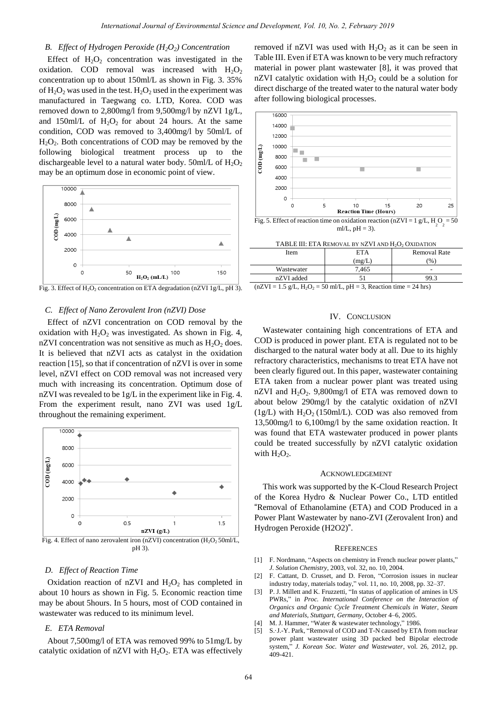#### *B. Effect of Hydrogen Peroxide (H2O2) Concentration*

Effect of  $H_2O_2$  concentration was investigated in the oxidation. COD removal was increased with  $H_2O_2$ concentration up to about 150ml/L as shown in Fig. 3. 35% of  $H_2O_2$  was used in the test.  $H_2O_2$  used in the experiment was manufactured in Taegwang co. LTD, Korea. COD was removed down to 2,800mg/l from 9,500mg/l by nZVI 1g/L, and 150ml/L of  $H_2O_2$  for about 24 hours. At the same condition, COD was removed to 3,400mg/l by 50ml/L of  $H_2O_2$ . Both concentrations of COD may be removed by the following biological treatment process up to the dischargeable level to a natural water body. 50ml/L of  $H_2O_2$ may be an optimum dose in economic point of view.



Fig. 3. Effect of  $H_2O_2$  concentration on ETA degradation (nZVI 1g/L, pH 3).

# *C. Effect of Nano Zerovalent Iron (nZVI) Dose*

Effect of nZVI concentration on COD removal by the oxidation with  $H_2O_2$  was investigated. As shown in Fig. 4, nZVI concentration was not sensitive as much as  $H_2O_2$  does. It is believed that nZVI acts as catalyst in the oxidation reaction [15], so that if concentration of nZVI is over in some level, nZVI effect on COD removal was not increased very much with increasing its concentration. Optimum dose of nZVI was revealed to be 1g/L in the experiment like in Fig. 4. From the experiment result, nano ZVI was used 1g/L throughout the remaining experiment.



pH 3).

# *D. Effect of Reaction Time*

Oxidation reaction of nZVI and  $H_2O_2$  has completed in about 10 hours as shown in Fig. 5. Economic reaction time may be about 5hours. In 5 hours, most of COD contained in wastewater was reduced to its minimum level.

# *E. ETA Removal*

About 7,500mg/l of ETA was removed 99% to 51mg/L by catalytic oxidation of nZVI with  $H_2O_2$ . ETA was effectively removed if nZVI was used with  $H_2O_2$  as it can be seen in Table III. Even if ETA was known to be very much refractory material in power plant wastewater [8], it was proved that nZVI catalytic oxidation with  $H_2O_2$  could be a solution for direct discharge of the treated water to the natural water body after following biological processes.



# IV. CONCLUSION

 $(nZVI = 1.5 \text{ g/L}, H_2O_2 = 50 \text{ m/L}, pH = 3$ , Reaction time = 24 hrs)

Wastewater containing high concentrations of ETA and COD is produced in power plant. ETA is regulated not to be discharged to the natural water body at all. Due to its highly refractory characteristics, mechanisms to treat ETA have not been clearly figured out. In this paper, wastewater containing ETA taken from a nuclear power plant was treated using nZVI and  $H_2O_2$ . 9,800mg/l of ETA was removed down to about below 290mg/l by the catalytic oxidation of nZVI (1g/L) with  $H_2O_2$  (150ml/L). COD was also removed from 13,500mg/l to 6,100mg/l by the same oxidation reaction. It was found that ETA wastewater produced in power plants could be treated successfully by nZVI catalytic oxidation with  $H_2O_2$ .

#### ACKNOWLEDGEMENT

This work was supported by the K-Cloud Research Project of the Korea Hydro & Nuclear Power Co., LTD entitled "Removal of Ethanolamine (ETA) and COD Produced in a Power Plant Wastewater by nano-ZVI (Zerovalent Iron) and Hydrogen Peroxide (H2O2)".

#### **REFERENCES**

- [1] F. Nordmann, "Aspects on chemistry in French nuclear power plants," *J. Solution Chemistry*, 2003, vol. 32, no. 10, 2004.
- [2] F. Cattant, D. Crusset, and D. Feron, "Corrosion issues in nuclear industry today, materials today," vol. 11, no. 10, 2008, pp. 32–37.
- [3] P. J. Millett and K. Fruzzetti, "In status of application of amines in US PWRs," in *Proc. International Conference on the Interaction of Organics and Organic Cycle Treatment Chemicals in Water, Steam and Materials, Stuttgart, Germany*, October 4–6, 2005.
- [4] M. J. Hammer, "Water & wastewater technology," 1986.
- [5] S. J.-Y. Park, "Removal of COD and T-N caused by ETA from nuclear power plant wastewater using 3D packed bed Bipolar electrode system," *J. Korean Soc. Water and Wastewater*, vol. 26, 2012, pp. 409-421.